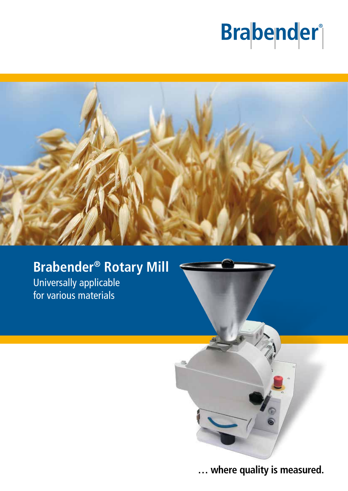# **Brabender**



## **Brabender® Rotary Mill**

Universally applicable for various materials



**… where quality is measured.**